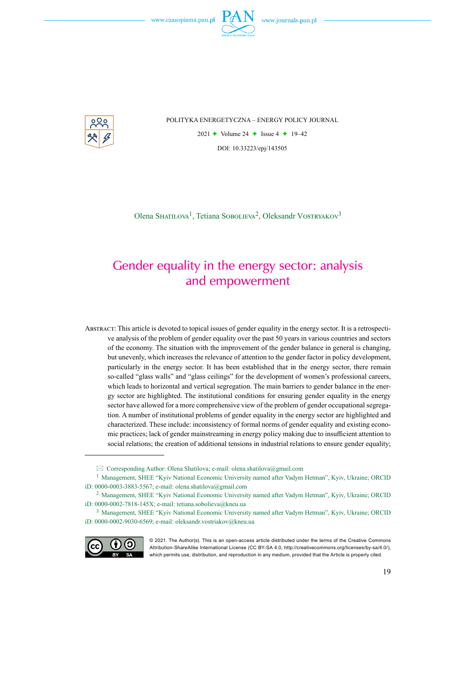

POLITYKA ENERGETYCZNA – ENERGY POLICY JOURNAL

2021  $\rightarrow$  Volume 24  $\rightarrow$  Issue 4  $\rightarrow$  19–42 DOI: 10.33223/epj/143505

Olena SHATILOVA<sup>1</sup>, Tetiana SOBOLIEVA<sup>2</sup>, Oleksandr VOSTRYAKOV<sup>3</sup>

# Gender equality in the energy sector: analysis and empowerment

Abstract: This article is devoted to topical issues of gender equality in the energy sector. It is a retrospective analysis of the problem of gender equality over the past 50 years in various countries and sectors of the economy. The situation with the improvement of the gender balance in general is changing, but unevenly, which increases the relevance of attention to the gender factor in policy development, particularly in the energy sector. It has been established that in the energy sector, there remain so-called "glass walls" and "glass ceilings" for the development of women's professional careers, which leads to horizontal and vertical segregation. The main barriers to gender balance in the energy sector are highlighted. The institutional conditions for ensuring gender equality in the energy sector have allowed for a more comprehensive view of the problem of gender occupational segregation. A number of institutional problems of gender equality in the energy sector are highlighted and characterized. These include: inconsistency of formal norms of gender equality and existing economic practices; lack of gender mainstreaming in energy policy making due to insufficient attention to social relations; the creation of additional tensions in industrial relations to ensure gender equality;

<sup>3</sup> Management, SHEE "Kyiv National Economic University named after Vadym Hetman", Kyiv, Ukraine; ORCID iD: 0000-0002-9030-6569; e-mail: oleksandr.vostriakov@kneu.ua



<sup>© 2021.</sup> The Author(s). This is an open-access article distributed under the terms of the Creative Commons Attribution-ShareAlike International License (CC BY-SA 4.0, http://creativecommons.org/licenses/by-sa/4.0/), which permits use, distribution, and reproduction in any medium, provided that the Article is properly cited.

 $\boxtimes$  Corresponding Author: Olena Shatilova; e-mail: olena.shatilova@gmail.com

<sup>1</sup> Management, SHEE "Kyiv National Economic University named after Vadym Hetman", Kyiv, Ukraine; ORCID iD: 0000-0003-3883-5567; e-mail: olena.shatilova@gmail.com

<sup>2</sup> Management, SHEE "Kyiv National Economic University named after Vadym Hetman", Kyiv, Ukraine; ORCID iD: 0000-0002-7818-145X; e-mail: tetiana.sobolieva@kneu.ua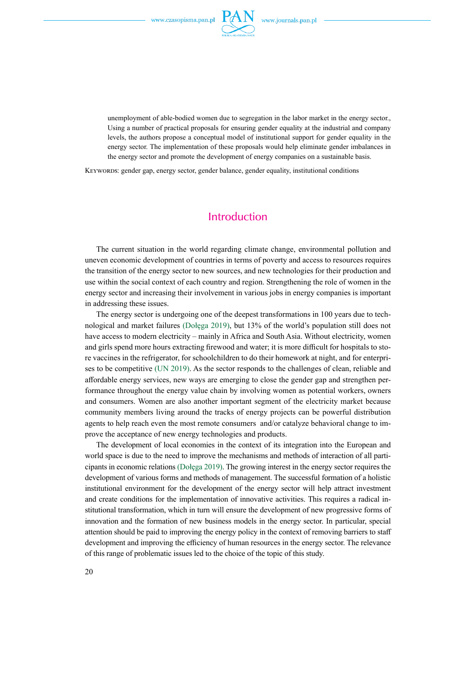

unemployment of able-bodied women due to segregation in the labor market in the energy sector., Using a number of practical proposals for ensuring gender equality at the industrial and company levels, the authors propose a conceptual model of institutional support for gender equality in the energy sector. The implementation of these proposals would help eliminate gender imbalances in the energy sector and promote the development of energy companies on a sustainable basis.

Keywords: gender gap, energy sector, gender balance, gender equality, institutional conditions

### Introduction

The current situation in the world regarding climate change, environmental pollution and uneven economic development of countries in terms of poverty and access to resources requires the transition of the energy sector to new sources, and new technologies for their production and use within the social context of each country and region. Strengthening the role of women in the energy sector and increasing their involvement in various jobs in energy companies is important in addressing these issues.

The energy sector is undergoing one of the deepest transformations in 100 years due to technological and market failures (Dołęga 2019), but 13% of the world's population still does not have access to modern electricity – mainly in Africa and South Asia. Without electricity, women and girls spend more hours extracting firewood and water; it is more difficult for hospitals to store vaccines in the refrigerator, for schoolchildren to do their homework at night, and for enterprises to be competitive (UN 2019). As the sector responds to the challenges of clean, reliable and affordable energy services, new ways are emerging to close the gender gap and strengthen performance throughout the energy value chain by involving women as potential workers, owners and consumers. Women are also another important segment of the electricity market because community members living around the tracks of energy projects can be powerful distribution agents to help reach even the most remote consumers and/or catalyze behavioral change to improve the acceptance of new energy technologies and products.

The development of local economies in the context of its integration into the European and world space is due to the need to improve the mechanisms and methods of interaction of all participants in economic relations (Dołęga 2019). The growing interest in the energy sector requires the development of various forms and methods of management. The successful formation of a holistic institutional environment for the development of the energy sector will help attract investment and create conditions for the implementation of innovative activities. This requires a radical institutional transformation, which in turn will ensure the development of new progressive forms of innovation and the formation of new business models in the energy sector. In particular, special attention should be paid to improving the energy policy in the context of removing barriers to staff development and improving the efficiency of human resources in the energy sector. The relevance of this range of problematic issues led to the choice of the topic of this study.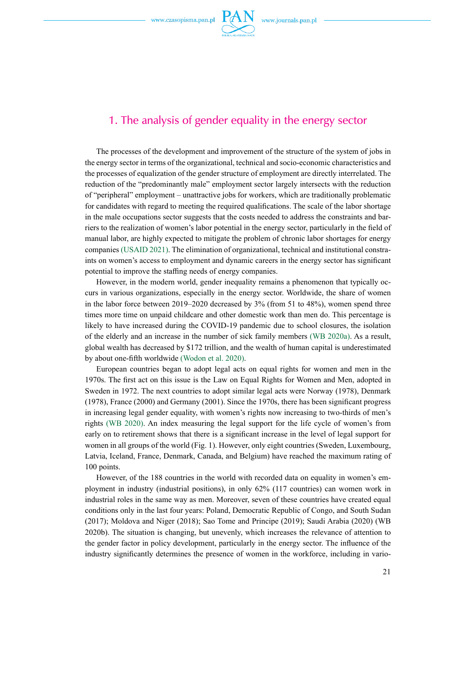

### 1. The analysis of gender equality in the energy sector

The processes of the development and improvement of the structure of the system of jobs in the energy sector in terms of the organizational, technical and socio-economic characteristics and the processes of equalization of the gender structure of employment are directly interrelated. The reduction of the "predominantly male" employment sector largely intersects with the reduction of "peripheral" employment – unattractive jobs for workers, which are traditionally problematic for candidates with regard to meeting the required qualifications. The scale of the labor shortage in the male occupations sector suggests that the costs needed to address the constraints and barriers to the realization of women's labor potential in the energy sector, particularly in the field of manual labor, are highly expected to mitigate the problem of chronic labor shortages for energy companies (USAID 2021). The elimination of organizational, technical and institutional constraints on women's access to employment and dynamic careers in the energy sector has significant potential to improve the staffing needs of energy companies.

However, in the modern world, gender inequality remains a phenomenon that typically occurs in various organizations, especially in the energy sector. Worldwide, the share of women in the labor force between 2019–2020 decreased by 3% (from 51 to 48%), women spend three times more time on unpaid childcare and other domestic work than men do. This percentage is likely to have increased during the COVID-19 pandemic due to school closures, the isolation of the elderly and an increase in the number of sick family members (WB 2020a). As a result, global wealth has decreased by \$172 trillion, and the wealth of human capital is underestimated by about one-fifth worldwide (Wodon et al. 2020).

European countries began to adopt legal acts on equal rights for women and men in the 1970s. The first act on this issue is the Law on Equal Rights for Women and Men, adopted in Sweden in 1972. The next countries to adopt similar legal acts were Norway (1978), Denmark (1978), France (2000) and Germany (2001). Since the 1970s, there has been significant progress in increasing legal gender equality, with women's rights now increasing to two-thirds of men's rights (WB 2020). An index measuring the legal support for the life cycle of women's from early on to retirement shows that there is a significant increase in the level of legal support for women in all groups of the world (Fig. 1). However, only eight countries (Sweden, Luxembourg, Latvia, Iceland, France, Denmark, Canada, and Belgium) have reached the maximum rating of 100 points.

However, of the 188 countries in the world with recorded data on equality in women's employment in industry (industrial positions), in only 62% (117 countries) can women work in industrial roles in the same way as men. Moreover, seven of these countries have created equal conditions only in the last four years: Poland, Democratic Republic of Congo, and South Sudan (2017); Moldova and Niger (2018); Sao Tome and Principe (2019); Saudi Arabia (2020) (WB 2020b). The situation is changing, but unevenly, which increases the relevance of attention to the gender factor in policy development, particularly in the energy sector. The influence of the industry significantly determines the presence of women in the workforce, including in vario-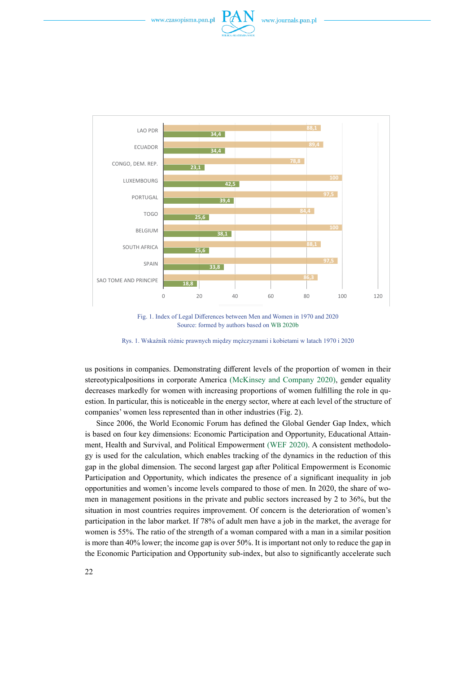





Fig. 1. Index of Legal Differences between Men and Women in 1970 and 2020 Source: formed by authors based on WB 2020b

Rys. 1. Wskaźnik różnic prawnych między mężczyznami i kobietami w latach 1970 i 2020

us positions in companies. Demonstrating different levels of the proportion of women in their stereotypicalpositions in corporate America (McKinsey and Company 2020), gender equality decreases markedly for women with increasing proportions of women fulfilling the role in question. In particular, this is noticeable in the energy sector, where at each level of the structure of companies' women less represented than in other industries (Fig. 2).

Since 2006, the World Economic Forum has defined the Global Gender Gap Index, which is based on four key dimensions: Economic Participation and Opportunity, Educational Attainment, Health and Survival, and Political Empowerment (WEF 2020). A consistent methodology is used for the calculation, which enables tracking of the dynamics in the reduction of this gap in the global dimension. The second largest gap after Political Empowerment is Economic Participation and Opportunity, which indicates the presence of a significant inequality in job opportunities and women's income levels compared to those of men. In 2020, the share of women in management positions in the private and public sectors increased by 2 to 36%, but the situation in most countries requires improvement. Of concern is the deterioration of women's participation in the labor market. If 78% of adult men have a job in the market, the average for women is 55%. The ratio of the strength of a woman compared with a man in a similar position is more than 40% lower; the income gap is over 50%. It is important not only to reduce the gap in the Economic Participation and Opportunity sub-index, but also to significantly accelerate such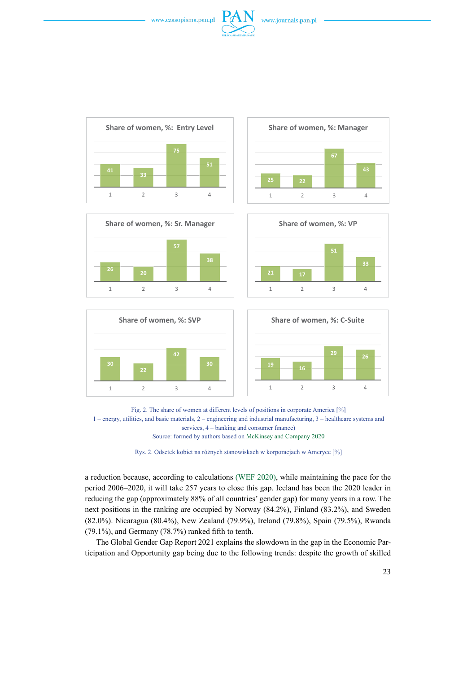















Rys. 2. Odsetek kobiet na różnych stanowiskach w korporacjach w Ameryce [%]

a reduction because, according to calculations (WEF 2020), while maintaining the pace for the period 2006–2020, it will take 257 years to close this gap. Iceland has been the 2020 leader in reducing the gap (approximately 88% of all countries' gender gap) for many years in a row. The next positions in the ranking are occupied by Norway (84.2%), Finland (83.2%), and Sweden (82.0%). Nicaragua (80.4%), New Zealand (79.9%), Ireland (79.8%), Spain (79.5%), Rwanda (79.1%), and Germany (78.7%) ranked fifth to tenth.

The Global Gender Gap Report 2021 explains the slowdown in the gap in the Economic Participation and Opportunity gap being due to the following trends: despite the growth of skilled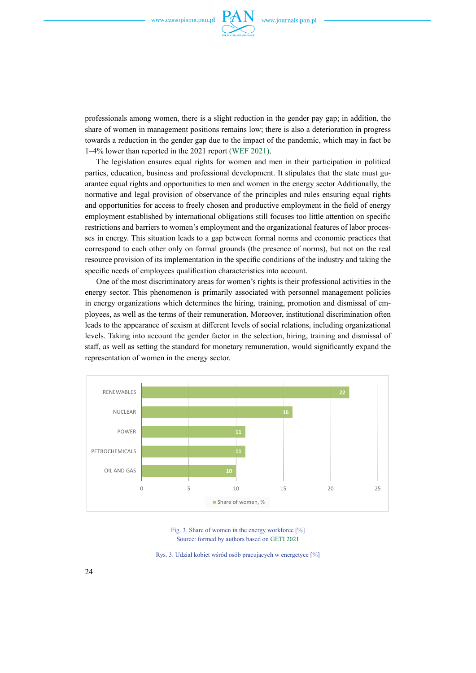

professionals among women, there is a slight reduction in the gender pay gap; in addition, the share of women in management positions remains low; there is also a deterioration in progress towards a reduction in the gender gap due to the impact of the pandemic, which may in fact be 1–4% lower than reported in the 2021 report (WEF 2021).

The legislation ensures equal rights for women and men in their participation in political parties, education, business and professional development. It stipulates that the state must guarantee equal rights and opportunities to men and women in the energy sector Additionally, the normative and legal provision of observance of the principles and rules ensuring equal rights and opportunities for access to freely chosen and productive employment in the field of energy employment established by international obligations still focuses too little attention on specific restrictions and barriers to women's employment and the organizational features of labor processes in energy. This situation leads to a gap between formal norms and economic practices that correspond to each other only on formal grounds (the presence of norms), but not on the real resource provision of its implementation in the specific conditions of the industry and taking the specific needs of employees qualification characteristics into account.

One of the most discriminatory areas for women's rights is their professional activities in the energy sector. This phenomenon is primarily associated with personnel management policies in energy organizations which determines the hiring, training, promotion and dismissal of employees, as well as the terms of their remuneration. Moreover, institutional discrimination often leads to the appearance of sexism at different levels of social relations, including organizational levels. Taking into account the gender factor in the selection, hiring, training and dismissal of staff, as well as setting the standard for monetary remuneration, would significantly expand the representation of women in the energy sector.



Fig. 3. Share of women in the energy workforce [%] Source: formed by authors based on GETI 2021

Rys. 3. Udział kobiet wśród osób pracujących w energetyce [%]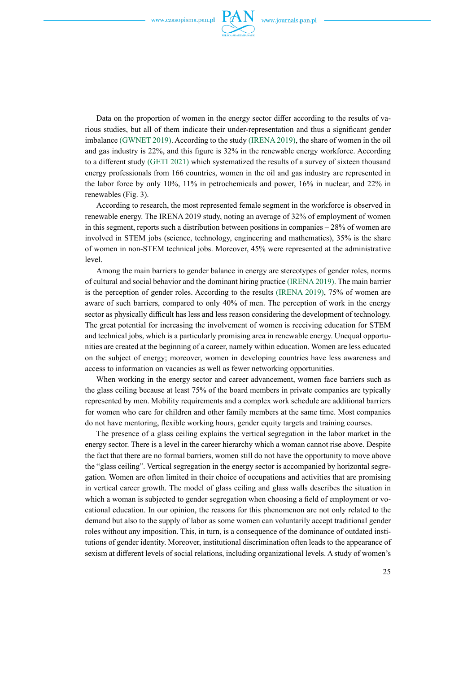

Data on the proportion of women in the energy sector differ according to the results of various studies, but all of them indicate their under-representation and thus a significant gender imbalance (GWNET 2019). According to the study (IRENA 2019), the share of women in the oil and gas industry is 22%, and this figure is 32% in the renewable energy workforce. According to a different study (GETI 2021) which systematized the results of a survey of sixteen thousand energy professionals from 166 countries, women in the oil and gas industry are represented in the labor force by only 10%, 11% in petrochemicals and power, 16% in nuclear, and 22% in renewables (Fig. 3).

According to research, the most represented female segment in the workforce is observed in renewable energy. The IRENA 2019 study, noting an average of 32% of employment of women in this segment, reports such a distribution between positions in companies – 28% of women are involved in STEM jobs (science, technology, engineering and mathematics), 35% is the share of women in non-STEM technical jobs. Moreover, 45% were represented at the administrative level.

Among the main barriers to gender balance in energy are stereotypes of gender roles, norms of cultural and social behavior and the dominant hiring practice (IRENA 2019). The main barrier is the perception of gender roles. According to the results (IRENA 2019), 75% of women are aware of such barriers, compared to only 40% of men. The perception of work in the energy sector as physically difficult has less and less reason considering the development of technology. The great potential for increasing the involvement of women is receiving education for STEM and technical jobs, which is a particularly promising area in renewable energy. Unequal opportunities are created at the beginning of a career, namely within education. Women are less educated on the subject of energy; moreover, women in developing countries have less awareness and access to information on vacancies as well as fewer networking opportunities.

When working in the energy sector and career advancement, women face barriers such as the glass ceiling because at least 75% of the board members in private companies are typically represented by men. Mobility requirements and a complex work schedule are additional barriers for women who care for children and other family members at the same time. Most companies do not have mentoring, flexible working hours, gender equity targets and training courses.

The presence of a glass ceiling explains the vertical segregation in the labor market in the energy sector. There is a level in the career hierarchy which a woman cannot rise above. Despite the fact that there are no formal barriers, women still do not have the opportunity to move above the "glass ceiling". Vertical segregation in the energy sector is accompanied by horizontal segregation. Women are often limited in their choice of occupations and activities that are promising in vertical career growth. The model of glass ceiling and glass walls describes the situation in which a woman is subjected to gender segregation when choosing a field of employment or vocational education. In our opinion, the reasons for this phenomenon are not only related to the demand but also to the supply of labor as some women can voluntarily accept traditional gender roles without any imposition. This, in turn, is a consequence of the dominance of outdated institutions of gender identity. Moreover, institutional discrimination often leads to the appearance of sexism at different levels of social relations, including organizational levels. A study of women's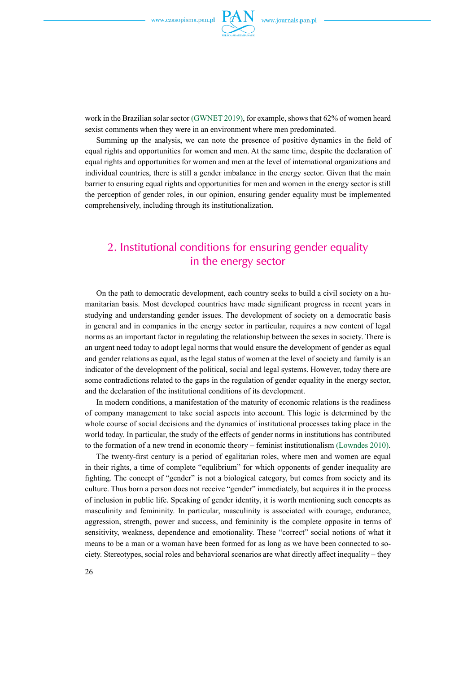

work in the Brazilian solar sector (GWNET 2019), for example, shows that 62% of women heard sexist comments when they were in an environment where men predominated.

Summing up the analysis, we can note the presence of positive dynamics in the field of equal rights and opportunities for women and men. At the same time, despite the declaration of equal rights and opportunities for women and men at the level of international organizations and individual countries, there is still a gender imbalance in the energy sector. Given that the main barrier to ensuring equal rights and opportunities for men and women in the energy sector is still the perception of gender roles, in our opinion, ensuring gender equality must be implemented comprehensively, including through its institutionalization.

# 2. Institutional conditions for ensuring gender equality in the energy sector

On the path to democratic development, each country seeks to build a civil society on a humanitarian basis. Most developed countries have made significant progress in recent years in studying and understanding gender issues. The development of society on a democratic basis in general and in companies in the energy sector in particular, requires a new content of legal norms as an important factor in regulating the relationship between the sexes in society. There is an urgent need today to adopt legal norms that would ensure the development of gender as equal and gender relations as equal, as the legal status of women at the level of society and family is an indicator of the development of the political, social and legal systems. However, today there are some contradictions related to the gaps in the regulation of gender equality in the energy sector, and the declaration of the institutional conditions of its development.

In modern conditions, a manifestation of the maturity of economic relations is the readiness of company management to take social aspects into account. This logic is determined by the whole course of social decisions and the dynamics of institutional processes taking place in the world today. In particular, the study of the effects of gender norms in institutions has contributed to the formation of a new trend in economic theory – feminist institutionalism (Lowndes 2010).

The twenty-first century is a period of egalitarian roles, where men and women are equal in their rights, a time of complete "equlibrium" for which opponents of gender inequality are fighting. The concept of "gender" is not a biological category, but comes from society and its culture. Thus born a person does not receive "gender" immediately, but acquires it in the process of inclusion in public life. Speaking of gender identity, it is worth mentioning such concepts as masculinity and femininity. In particular, masculinity is associated with courage, endurance, aggression, strength, power and success, and femininity is the complete opposite in terms of sensitivity, weakness, dependence and emotionality. These "correct" social notions of what it means to be a man or a woman have been formed for as long as we have been connected to society. Stereotypes, social roles and behavioral scenarios are what directly affect inequality – they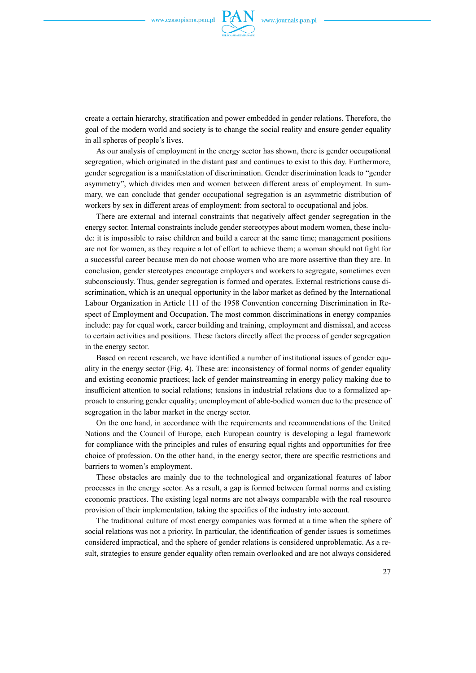

create a certain hierarchy, stratification and power embedded in gender relations. Therefore, the goal of the modern world and society is to change the social reality and ensure gender equality in all spheres of people's lives.

As our analysis of employment in the energy sector has shown, there is gender occupational segregation, which originated in the distant past and continues to exist to this day. Furthermore, gender segregation is a manifestation of discrimination. Gender discrimination leads to "gender asymmetry", which divides men and women between different areas of employment. In summary, we can conclude that gender occupational segregation is an asymmetric distribution of workers by sex in different areas of employment: from sectoral to occupational and jobs.

There are external and internal constraints that negatively affect gender segregation in the energy sector. Internal constraints include gender stereotypes about modern women, these include: it is impossible to raise children and build a career at the same time; management positions are not for women, as they require a lot of effort to achieve them; a woman should not fight for a successful career because men do not choose women who are more assertive than they are. In conclusion, gender stereotypes encourage employers and workers to segregate, sometimes even subconsciously. Thus, gender segregation is formed and operates. External restrictions cause discrimination, which is an unequal opportunity in the labor market as defined by the International Labour Organization in Article 111 of the 1958 Convention concerning Discrimination in Respect of Employment and Occupation. The most common discriminations in energy companies include: pay for equal work, career building and training, employment and dismissal, and access to certain activities and positions. These factors directly affect the process of gender segregation in the energy sector.

Based on recent research, we have identified a number of institutional issues of gender equality in the energy sector (Fig. 4). These are: inconsistency of formal norms of gender equality and existing economic practices; lack of gender mainstreaming in energy policy making due to insufficient attention to social relations; tensions in industrial relations due to a formalized approach to ensuring gender equality; unemployment of able-bodied women due to the presence of segregation in the labor market in the energy sector.

On the one hand, in accordance with the requirements and recommendations of the United Nations and the Council of Europe, each European country is developing a legal framework for compliance with the principles and rules of ensuring equal rights and opportunities for free choice of profession. On the other hand, in the energy sector, there are specific restrictions and barriers to women's employment.

These obstacles are mainly due to the technological and organizational features of labor processes in the energy sector. As a result, a gap is formed between formal norms and existing economic practices. The existing legal norms are not always comparable with the real resource provision of their implementation, taking the specifics of the industry into account.

The traditional culture of most energy companies was formed at a time when the sphere of social relations was not a priority. In particular, the identification of gender issues is sometimes considered impractical, and the sphere of gender relations is considered unproblematic. As a result, strategies to ensure gender equality often remain overlooked and are not always considered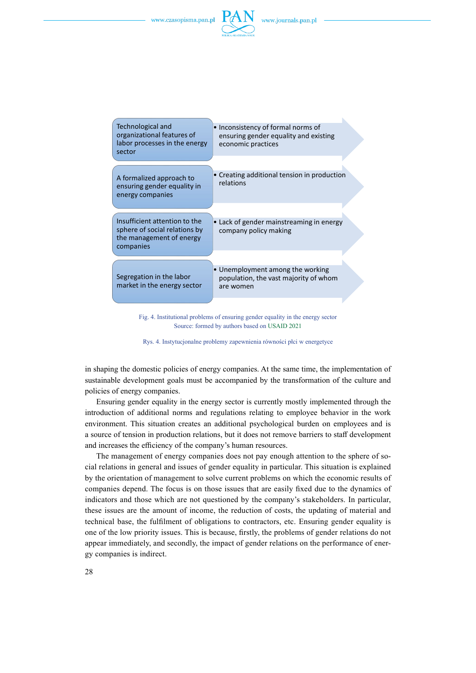

| <b>Technological and</b><br>organizational features of<br>labor processes in the energy<br>sector       | Inconsistency of formal norms of<br>ensuring gender equality and existing<br>economic practices |
|---------------------------------------------------------------------------------------------------------|-------------------------------------------------------------------------------------------------|
| A formalized approach to                                                                                | Creating additional tension in production<br>relations                                          |
| ensuring gender equality in<br>energy companies                                                         |                                                                                                 |
| Insufficient attention to the<br>sphere of social relations by<br>the management of energy<br>companies | • Lack of gender mainstreaming in energy<br>company policy making                               |
|                                                                                                         |                                                                                                 |
| Segregation in the labor<br>market in the energy sector                                                 | • Unemployment among the working<br>population, the vast majority of whom<br>are women          |
|                                                                                                         |                                                                                                 |

Fig. 4. Institutional problems of ensuring gender equality in the energy sector Source: formed by authors based on USAID 2021

Rys. 4. Instytucjonalne problemy zapewnienia równości płci w energetyce

in shaping the domestic policies of energy companies. At the same time, the implementation of sustainable development goals must be accompanied by the transformation of the culture and policies of energy companies.

Ensuring gender equality in the energy sector is currently mostly implemented through the introduction of additional norms and regulations relating to employee behavior in the work environment. This situation creates an additional psychological burden on employees and is a source of tension in production relations, but it does not remove barriers to staff development and increases the efficiency of the company's human resources.

The management of energy companies does not pay enough attention to the sphere of social relations in general and issues of gender equality in particular. This situation is explained by the orientation of management to solve current problems on which the economic results of companies depend. The focus is on those issues that are easily fixed due to the dynamics of indicators and those which are not questioned by the company's stakeholders. In particular, these issues are the amount of income, the reduction of costs, the updating of material and technical base, the fulfilment of obligations to contractors, etc. Ensuring gender equality is one of the low priority issues. This is because, firstly, the problems of gender relations do not appear immediately, and secondly, the impact of gender relations on the performance of energy companies is indirect.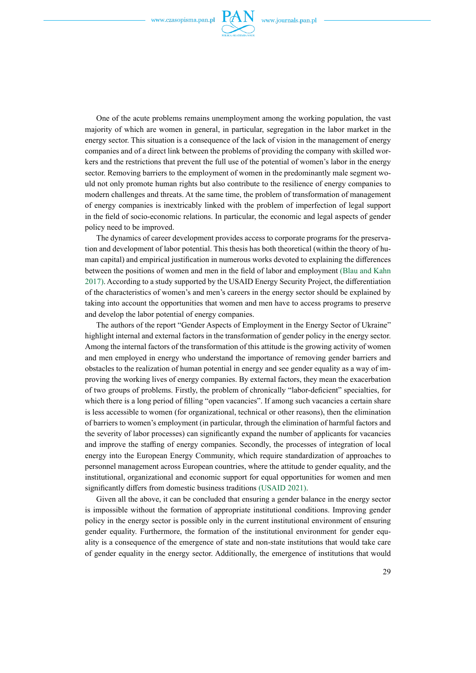

One of the acute problems remains unemployment among the working population, the vast majority of which are women in general, in particular, segregation in the labor market in the energy sector. This situation is a consequence of the lack of vision in the management of energy companies and of a direct link between the problems of providing the company with skilled workers and the restrictions that prevent the full use of the potential of women's labor in the energy sector. Removing barriers to the employment of women in the predominantly male segment would not only promote human rights but also contribute to the resilience of energy companies to modern challenges and threats. At the same time, the problem of transformation of management of energy companies is inextricably linked with the problem of imperfection of legal support in the field of socio-economic relations. In particular, the economic and legal aspects of gender policy need to be improved.

The dynamics of career development provides access to corporate programs for the preservation and development of labor potential. This thesis has both theoretical (within the theory of human capital) and empirical justification in numerous works devoted to explaining the differences between the positions of women and men in the field of labor and employment (Blau and Kahn 2017). According to a study supported by the USAID Energy Security Project, the differentiation of the characteristics of women's and men's careers in the energy sector should be explained by taking into account the opportunities that women and men have to access programs to preserve and develop the labor potential of energy companies.

The authors of the report "Gender Aspects of Employment in the Energy Sector of Ukraine" highlight internal and external factors in the transformation of gender policy in the energy sector. Among the internal factors of the transformation of this attitude is the growing activity of women and men employed in energy who understand the importance of removing gender barriers and obstacles to the realization of human potential in energy and see gender equality as a way of improving the working lives of energy companies. By external factors, they mean the exacerbation of two groups of problems. Firstly, the problem of chronically "labor-deficient" specialties, for which there is a long period of filling "open vacancies". If among such vacancies a certain share is less accessible to women (for organizational, technical or other reasons), then the elimination of barriers to women's employment (in particular, through the elimination of harmful factors and the severity of labor processes) can significantly expand the number of applicants for vacancies and improve the staffing of energy companies. Secondly, the processes of integration of local energy into the European Energy Community, which require standardization of approaches to personnel management across European countries, where the attitude to gender equality, and the institutional, organizational and economic support for equal opportunities for women and men significantly differs from domestic business traditions (USAID 2021).

Given all the above, it can be concluded that ensuring a gender balance in the energy sector is impossible without the formation of appropriate institutional conditions. Improving gender policy in the energy sector is possible only in the current institutional environment of ensuring gender equality. Furthermore, the formation of the institutional environment for gender equality is a consequence of the emergence of state and non-state institutions that would take care of gender equality in the energy sector. Additionally, the emergence of institutions that would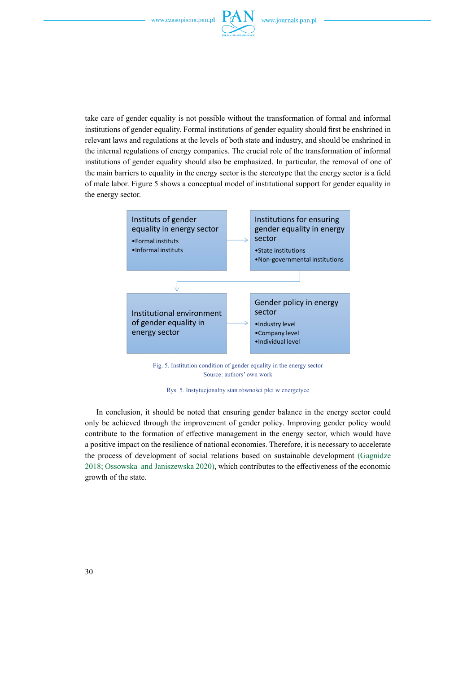

take care of gender equality is not possible without the transformation of formal and informal institutions of gender equality. Formal institutions of gender equality should first be enshrined in relevant laws and regulations at the levels of both state and industry, and should be enshrined in the internal regulations of energy companies. The crucial role of the transformation of informal institutions of gender equality should also be emphasized. In particular, the removal of one of the main barriers to equality in the energy sector is the stereotype that the energy sector is a field of male labor. Figure 5 shows a conceptual model of institutional support for gender equality in the energy sector.



Fig. 5. Institution condition of gender equality in the energy sector Source: authors' own work

Rys. 5. Instytucjonalny stan równości płci w energetyce

In conclusion, it should be noted that ensuring gender balance in the energy sector could only be achieved through the improvement of gender policy. Improving gender policy would contribute to the formation of effective management in the energy sector, which would have a positive impact on the resilience of national economies. Therefore, it is necessary to accelerate the process of development of social relations based on sustainable development (Gagnidze 2018; Ossowska and Janiszewska 2020), which contributes to the effectiveness of the economic growth of the state.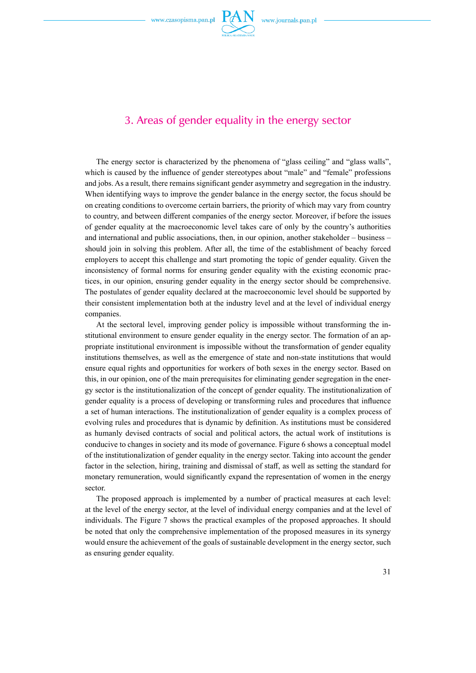

### 3. Areas of gender equality in the energy sector

The energy sector is characterized by the phenomena of "glass ceiling" and "glass walls", which is caused by the influence of gender stereotypes about "male" and "female" professions and jobs. As a result, there remains significant gender asymmetry and segregation in the industry. When identifying ways to improve the gender balance in the energy sector, the focus should be on creating conditions to overcome certain barriers, the priority of which may vary from country to country, and between different companies of the energy sector. Moreover, if before the issues of gender equality at the macroeconomic level takes care of only by the country's authorities and international and public associations, then, in our opinion, another stakeholder – business – should join in solving this problem. After all, the time of the establishment of beachy forced employers to accept this challenge and start promoting the topic of gender equality. Given the inconsistency of formal norms for ensuring gender equality with the existing economic practices, in our opinion, ensuring gender equality in the energy sector should be comprehensive. The postulates of gender equality declared at the macroeconomic level should be supported by their consistent implementation both at the industry level and at the level of individual energy companies.

At the sectoral level, improving gender policy is impossible without transforming the institutional environment to ensure gender equality in the energy sector. The formation of an appropriate institutional environment is impossible without the transformation of gender equality institutions themselves, as well as the emergence of state and non-state institutions that would ensure equal rights and opportunities for workers of both sexes in the energy sector. Based on this, in our opinion, one of the main prerequisites for eliminating gender segregation in the energy sector is the institutionalization of the concept of gender equality. The institutionalization of gender equality is a process of developing or transforming rules and procedures that influence a set of human interactions. The institutionalization of gender equality is a complex process of evolving rules and procedures that is dynamic by definition. As institutions must be considered as humanly devised contracts of social and political actors, the actual work of institutions is conducive to changes in society and its mode of governance. Figure 6 shows a conceptual model of the institutionalization of gender equality in the energy sector. Taking into account the gender factor in the selection, hiring, training and dismissal of staff, as well as setting the standard for monetary remuneration, would significantly expand the representation of women in the energy sector.

The proposed approach is implemented by a number of practical measures at each level: at the level of the energy sector, at the level of individual energy companies and at the level of individuals. The Figure 7 shows the practical examples of the proposed approaches. It should be noted that only the comprehensive implementation of the proposed measures in its synergy would ensure the achievement of the goals of sustainable development in the energy sector, such as ensuring gender equality.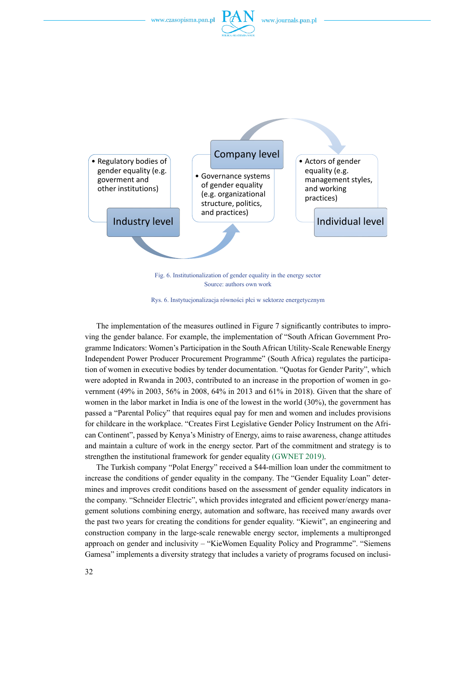



Source: authors own work

Rys. 6. Instytucjonalizacja równości płci w sektorze energetycznym

The implementation of the measures outlined in Figure 7 significantly contributes to improving the gender balance. For example, the implementation of "South African Government Programme Indicators: Women's Participation in the South African Utility-Scale Renewable Energy Independent Power Producer Procurement Programme" (South Africa) regulates the participation of women in executive bodies by tender documentation. "Quotas for Gender Parity", which were adopted in Rwanda in 2003, contributed to an increase in the proportion of women in government (49% in 2003, 56% in 2008, 64% in 2013 and 61% in 2018). Given that the share of women in the labor market in India is one of the lowest in the world (30%), the government has passed a "Parental Policy" that requires equal pay for men and women and includes provisions for childcare in the workplace. "Creates First Legislative Gender Policy Instrument on the African Continent", passed by Kenya's Ministry of Energy, aims to raise awareness, change attitudes and maintain a culture of work in the energy sector. Part of the commitment and strategy is to strengthen the institutional framework for gender equality (GWNET 2019).

The Turkish company "Polat Energy" received a \$44-million loan under the commitment to increase the conditions of gender equality in the company. The "Gender Equality Loan" determines and improves credit conditions based on the assessment of gender equality indicators in the company. "Schneider Electric", which provides integrated and efficient power/energy management solutions combining energy, automation and software, has received many awards over the past two years for creating the conditions for gender equality. "Kiewit", an engineering and construction company in the large-scale renewable energy sector, implements a multipronged approach on gender and inclusivity – "KieWomen Equality Policy and Programme". "Siemens Gamesa" implements a diversity strategy that includes a variety of programs focused on inclusi-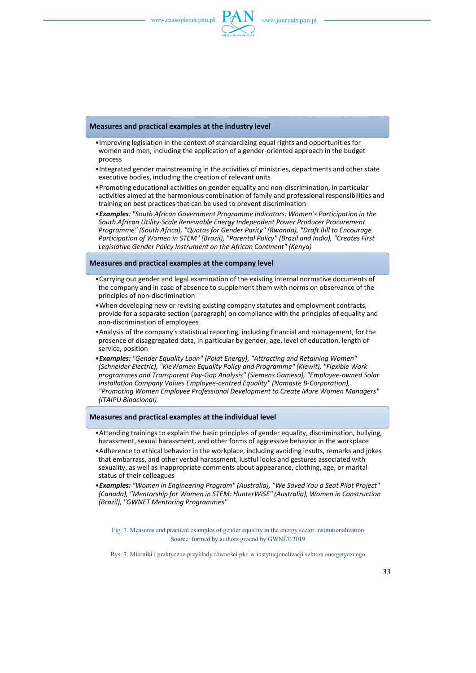

#### **Measures and practical examples at the industry level**

- •Improving legislation in the context of standardizing equal rights and opportunities for women and men, including the application of a gender-oriented approach in the budget process
- •Integrated gender mainstreaming in the activities of ministries, departments and other state executive bodies, including the creation of relevant units
- •Promoting educational activities on gender equality and non-discrimination, in particular activities aimed at the harmonious combination of family and professional responsibilities and training on best practices that can be used to prevent discrimination
- •*Examples: "South African Government Programme Indicators: Women's Participation in the South African Utility-Scale Renewable Energy Independent Power Producer Procurement Programme" (South Africa), "Quotas for Gender Parity" (Rwanda), "Draft Bill to Encourage Participation of Women in STEM" (Brazil), "Parental Policy" (Brazil and India), "Creates First Legislative Gender Policy Instrument on the African Continent" (Kenya)*

#### **Measures and practical examples at the company level**

- •Carrying out gender and legal examination of the existing internal normative documents of the company and in case of absence to supplement them with norms on observance of the principles of non-discrimination
- •When developing new or revising existing company statutes and employment contracts, provide for a separate section (paragraph) on compliance with the principles of equality and non-discrimination of employees
- •Analysis of the company's statistical reporting, including financial and management, for the presence of disaggregated data, in particular by gender, age, level of education, length of service, position
- •*Examples: "Gender Equality Loan" (Polat Energy), "Attracting and Retaining Women" (Schneider Electric), "KieWomen Equality Policy and Programme" (Kiewit), "Flexible Work programmes and Transparent Pay-Gap Analysis" (Siemens Gamesa), "Employee-owned Solar Installation Company Values Employee-centred Equality" (Namaste B-Corporation), "Promoting Women Employee Professional Development to Create More Women Managers" (ITAIPU Binacional)*

#### **Measures and practical examples at the individual level**

- •Attending trainings to explain the basic principles of gender equality, discrimination, bullying, harassment, sexual harassment, and other forms of aggressive behavior in the workplace
- •Adherence to ethical behavior in the workplace, including avoiding insults, remarks and jokes that embarrass, and other verbal harassment, lustful looks and gestures associated with sexuality, as well as inappropriate comments about appearance, clothing, age, or marital status of their colleagues
- •*Examples: "Women in Engineering Program" (Australia), "We Saved You a Seat Pilot Project" (Canada), "Mentorship for Women in STEM: HunterWiSE" (Australia), Women in Construction (Brazil), "GWNET Mentoring Programmes"*

Fig. 7. Measures and practical examples of gender equality in the energy sector institutionalization Source: formed by authors ground by GWNET 2019

Rys. 7. Mierniki i praktyczne przykłady równości płci w instytucjonalizacji sektora energetycznego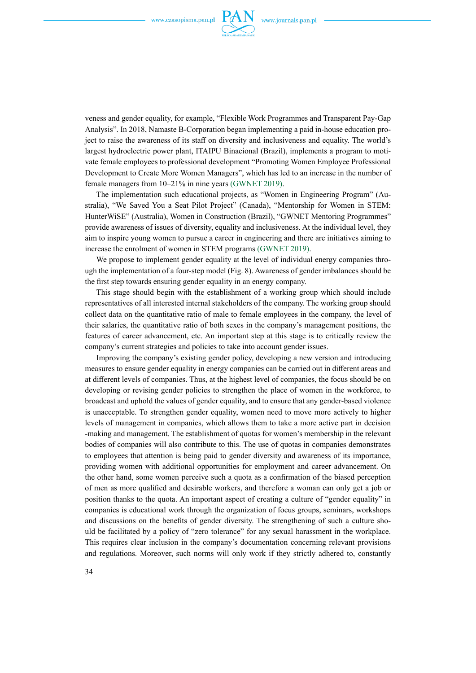

veness and gender equality, for example, "Flexible Work Programmes and Transparent Pay-Gap Analysis". In 2018, Namaste B-Corporation began implementing a paid in-house education project to raise the awareness of its staff on diversity and inclusiveness and equality. The world's largest hydroelectric power plant, ITAIPU Binacional (Brazil), implements a program to motivate female employees to professional development "Promoting Women Employee Professional Development to Create More Women Managers", which has led to an increase in the number of female managers from 10–21% in nine years (GWNET 2019).

The implementation such educational projects, as "Women in Engineering Program" (Australia), "We Saved You a Seat Pilot Project" (Canada), "Mentorship for Women in STEM: HunterWiSE" (Australia), Women in Construction (Brazil), "GWNET Mentoring Programmes" provide awareness of issues of diversity, equality and inclusiveness. At the individual level, they aim to inspire young women to pursue a career in engineering and there are initiatives aiming to increase the enrolment of women in STEM programs (GWNET 2019).

We propose to implement gender equality at the level of individual energy companies through the implementation of a four-step model (Fig. 8). Awareness of gender imbalances should be the first step towards ensuring gender equality in an energy company.

This stage should begin with the establishment of a working group which should include representatives of all interested internal stakeholders of the company. The working group should collect data on the quantitative ratio of male to female employees in the company, the level of their salaries, the quantitative ratio of both sexes in the company's management positions, the features of career advancement, etc. An important step at this stage is to critically review the company's current strategies and policies to take into account gender issues.

Improving the company's existing gender policy, developing a new version and introducing measures to ensure gender equality in energy companies can be carried out in different areas and at different levels of companies. Thus, at the highest level of companies, the focus should be on developing or revising gender policies to strengthen the place of women in the workforce, to broadcast and uphold the values of gender equality, and to ensure that any gender-based violence is unacceptable. To strengthen gender equality, women need to move more actively to higher levels of management in companies, which allows them to take a more active part in decision -making and management. The establishment of quotas for women's membership in the relevant bodies of companies will also contribute to this. The use of quotas in companies demonstrates to employees that attention is being paid to gender diversity and awareness of its importance, providing women with additional opportunities for employment and career advancement. On the other hand, some women perceive such a quota as a confirmation of the biased perception of men as more qualified and desirable workers, and therefore a woman can only get a job or position thanks to the quota. An important aspect of creating a culture of "gender equality" in companies is educational work through the organization of focus groups, seminars, workshops and discussions on the benefits of gender diversity. The strengthening of such a culture should be facilitated by a policy of "zero tolerance" for any sexual harassment in the workplace. This requires clear inclusion in the company's documentation concerning relevant provisions and regulations. Moreover, such norms will only work if they strictly adhered to, constantly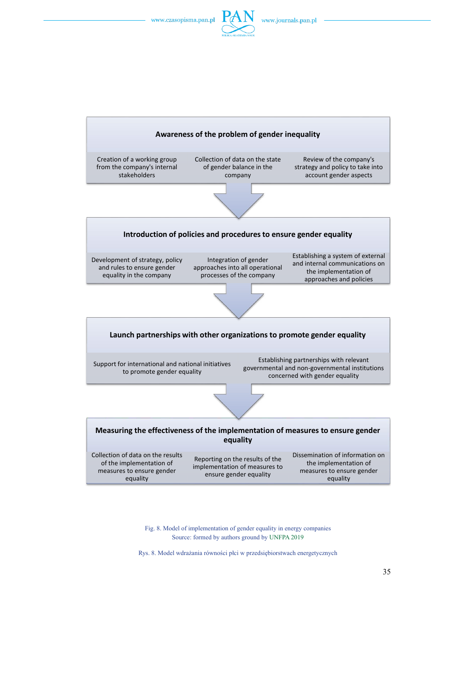



Fig. 8. Model of implementation of gender equality in energy companies Source: formed by authors ground by UNFPA 2019

Rys. 8. Model wdrażania równości płci w przedsiębiorstwach energetycznych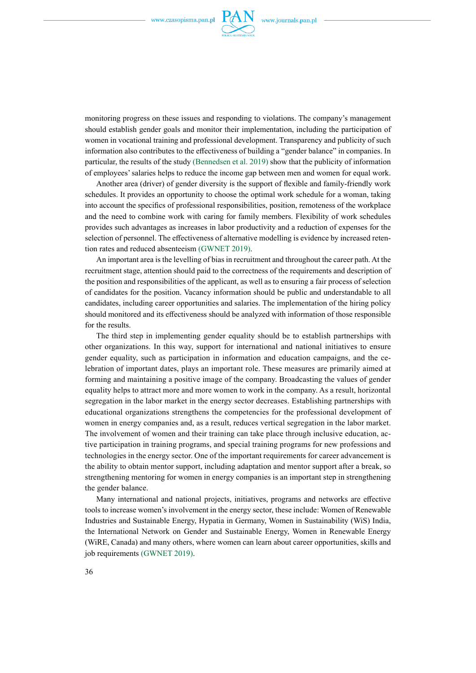

monitoring progress on these issues and responding to violations. The company's management should establish gender goals and monitor their implementation, including the participation of women in vocational training and professional development. Transparency and publicity of such information also contributes to the effectiveness of building a "gender balance" in companies. In particular, the results of the study (Bennedsen et al. 2019) show that the publicity of information of employees' salaries helps to reduce the income gap between men and women for equal work.

Another area (driver) of gender diversity is the support of flexible and family-friendly work schedules. It provides an opportunity to choose the optimal work schedule for a woman, taking into account the specifics of professional responsibilities, position, remoteness of the workplace and the need to combine work with caring for family members. Flexibility of work schedules provides such advantages as increases in labor productivity and a reduction of expenses for the selection of personnel. The effectiveness of alternative modelling is evidence by increased retention rates and reduced absenteeism (GWNET 2019).

An important area is the levelling of bias in recruitment and throughout the career path. At the recruitment stage, attention should paid to the correctness of the requirements and description of the position and responsibilities of the applicant, as well as to ensuring a fair process of selection of candidates for the position. Vacancy information should be public and understandable to all candidates, including career opportunities and salaries. The implementation of the hiring policy should monitored and its effectiveness should be analyzed with information of those responsible for the results.

The third step in implementing gender equality should be to establish partnerships with other organizations. In this way, support for international and national initiatives to ensure gender equality, such as participation in information and education campaigns, and the celebration of important dates, plays an important role. These measures are primarily aimed at forming and maintaining a positive image of the company. Broadcasting the values of gender equality helps to attract more and more women to work in the company. As a result, horizontal segregation in the labor market in the energy sector decreases. Establishing partnerships with educational organizations strengthens the competencies for the professional development of women in energy companies and, as a result, reduces vertical segregation in the labor market. The involvement of women and their training can take place through inclusive education, active participation in training programs, and special training programs for new professions and technologies in the energy sector. One of the important requirements for career advancement is the ability to obtain mentor support, including adaptation and mentor support after a break, so strengthening mentoring for women in energy companies is an important step in strengthening the gender balance.

Many international and national projects, initiatives, programs and networks are effective tools to increase women's involvement in the energy sector, these include: Women of Renewable Industries and Sustainable Energy, Hypatia in Germany, Women in Sustainability (WiS) India, the International Network on Gender and Sustainable Energy, Women in Renewable Energy (WiRE, Canada) and many others, where women can learn about career opportunities, skills and job requirements (GWNET 2019).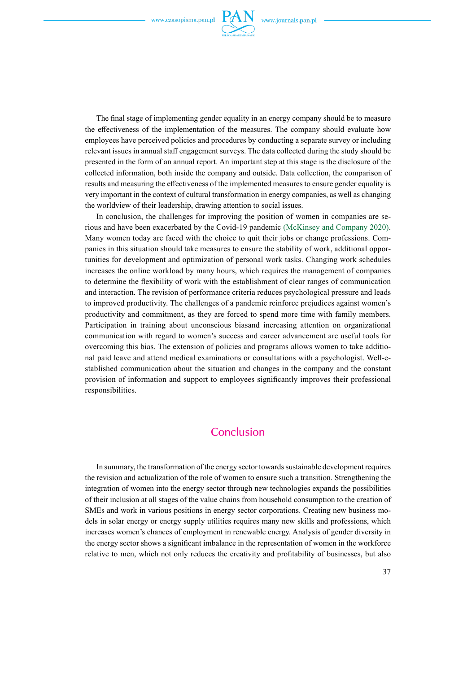

The final stage of implementing gender equality in an energy company should be to measure the effectiveness of the implementation of the measures. The company should evaluate how employees have perceived policies and procedures by conducting a separate survey or including relevant issues in annual staff engagement surveys. The data collected during the study should be presented in the form of an annual report. An important step at this stage is the disclosure of the collected information, both inside the company and outside. Data collection, the comparison of results and measuring the effectiveness of the implemented measures to ensure gender equality is very important in the context of cultural transformation in energy companies, as well as changing the worldview of their leadership, drawing attention to social issues.

In conclusion, the challenges for improving the position of women in companies are serious and have been exacerbated by the Covid-19 pandemic (McKinsey and Company 2020). Many women today are faced with the choice to quit their jobs or change professions. Companies in this situation should take measures to ensure the stability of work, additional opportunities for development and optimization of personal work tasks. Changing work schedules increases the online workload by many hours, which requires the management of companies to determine the flexibility of work with the establishment of clear ranges of communication and interaction. The revision of performance criteria reduces psychological pressure and leads to improved productivity. The challenges of a pandemic reinforce prejudices against women's productivity and commitment, as they are forced to spend more time with family members. Participation in training about unconscious biasand increasing attention on organizational communication with regard to women's success and career advancement are useful tools for overcoming this bias. The extension of policies and programs allows women to take additional paid leave and attend medical examinations or consultations with a psychologist. Well-established communication about the situation and changes in the company and the constant provision of information and support to employees significantly improves their professional responsibilities.

### **Conclusion**

In summary, the transformation of the energy sector towards sustainable development requires the revision and actualization of the role of women to ensure such a transition. Strengthening the integration of women into the energy sector through new technologies expands the possibilities of their inclusion at all stages of the value chains from household consumption to the creation of SMEs and work in various positions in energy sector corporations. Creating new business models in solar energy or energy supply utilities requires many new skills and professions, which increases women's chances of employment in renewable energy. Analysis of gender diversity in the energy sector shows a significant imbalance in the representation of women in the workforce relative to men, which not only reduces the creativity and profitability of businesses, but also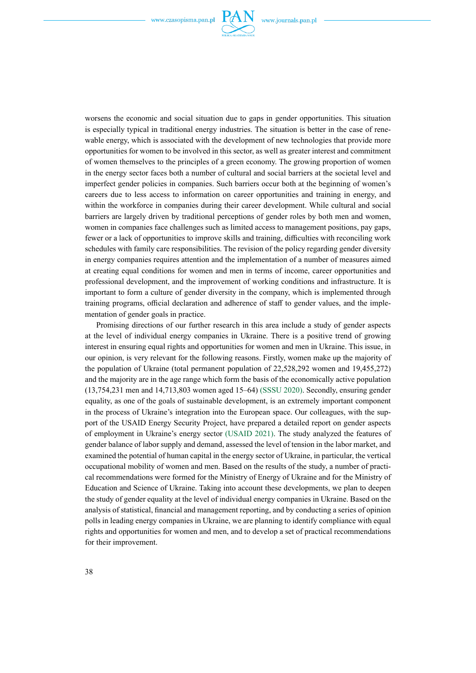

worsens the economic and social situation due to gaps in gender opportunities. This situation is especially typical in traditional energy industries. The situation is better in the case of renewable energy, which is associated with the development of new technologies that provide more opportunities for women to be involved in this sector, as well as greater interest and commitment of women themselves to the principles of a green economy. The growing proportion of women in the energy sector faces both a number of cultural and social barriers at the societal level and imperfect gender policies in companies. Such barriers occur both at the beginning of women's careers due to less access to information on career opportunities and training in energy, and within the workforce in companies during their career development. While cultural and social barriers are largely driven by traditional perceptions of gender roles by both men and women, women in companies face challenges such as limited access to management positions, pay gaps, fewer or a lack of opportunities to improve skills and training, difficulties with reconciling work schedules with family care responsibilities. The revision of the policy regarding gender diversity in energy companies requires attention and the implementation of a number of measures aimed at creating equal conditions for women and men in terms of income, career opportunities and professional development, and the improvement of working conditions and infrastructure. It is important to form a culture of gender diversity in the company, which is implemented through training programs, official declaration and adherence of staff to gender values, and the implementation of gender goals in practice.

Promising directions of our further research in this area include a study of gender aspects at the level of individual energy companies in Ukraine. There is a positive trend of growing interest in ensuring equal rights and opportunities for women and men in Ukraine. This issue, in our opinion, is very relevant for the following reasons. Firstly, women make up the majority of the population of Ukraine (total permanent population of 22,528,292 women and 19,455,272) and the majority are in the age range which form the basis of the economically active population (13,754,231 men and 14,713,803 women aged 15–64) (SSSU 2020). Secondly, ensuring gender equality, as one of the goals of sustainable development, is an extremely important component in the process of Ukraine's integration into the European space. Our colleagues, with the support of the USAID Energy Security Project, have prepared a detailed report on gender aspects of employment in Ukraine's energy sector (USAID 2021). The study analyzed the features of gender balance of labor supply and demand, assessed the level of tension in the labor market, and examined the potential of human capital in the energy sector of Ukraine, in particular, the vertical occupational mobility of women and men. Based on the results of the study, a number of practical recommendations were formed for the Ministry of Energy of Ukraine and for the Ministry of Education and Science of Ukraine. Taking into account these developments, we plan to deepen the study of gender equality at the level of individual energy companies in Ukraine. Based on the analysis of statistical, financial and management reporting, and by conducting a series of opinion polls in leading energy companies in Ukraine, we are planning to identify compliance with equal rights and opportunities for women and men, and to develop a set of practical recommendations for their improvement.

38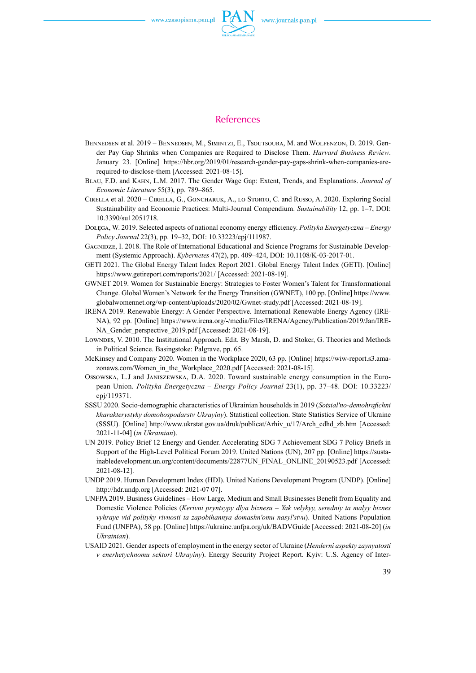

- BENNEDSEN et al. 2019 BENNEDSEN, M., SIMINTZI, E., TSOUTSOURA, M. and WOLFENZON, D. 2019. Gender Pay Gap Shrinks when Companies are Required to Disclose Them. *Harvard Business Review*. January 23. [Online] [https://hbr.org/2019/01/research-gender-pay-gaps-shrink-when-companies-are](https://hbr.org/2019/01/research-gender-pay-gaps-shrink-when-companies-are-required-to-disclose-them)[required-to-disclose-them](https://hbr.org/2019/01/research-gender-pay-gaps-shrink-when-companies-are-required-to-disclose-them) [Accessed: 2021-08-15].
- Blau, F.D. and Kahn, L.M. 2017. The Gender Wage Gap: Extent, Trends, and Explanations. *Journal of Economic Literature* 55(3), pp. 789–865.
- Cirella et al. 2020 Cirella, G., Goncharuk, A., lo Storto, C. and Russo, A. 2020. Exploring Social Sustainability and Economic Practices: Multi-Journal Compendium. *Sustainability* 12, pp. 1–7, DOI: [10.3390/su12051718](https://doi.org/10.3390/su12051718).
- Dołęga, W. 2019. Selected aspects of national economy energy efficiency. *Polityka Energetyczna Energy Policy Journal* 22(3), pp. 19–32, DOI: [10.33223/epj/111987](https://doi.org/10.33223/epj/111987).
- Gagnidze, I. 2018. The Role of International Educational and Science Programs for Sustainable Development (Systemic Approach). *Kybernetes* 47(2), pp. 409–424, DOI: [10.1108/K-03-2017-01](https://doi.org/10.1108/K-03-2017-01).
- GETI 2021. The Global Energy Talent Index Report 2021. Global Energy Talent Index (GETI). [Online] <https://www.getireport.com/reports/2021/> [Accessed: 2021-08-19].
- GWNET 2019. Women for Sustainable Energy: Strategies to Foster Women's Talent for Transformational Change. Global Women's Network for the Energy Transition (GWNET), 100 pp. [Online] [https://www.](https://www.globalwomennet.org/wp-content/uploads/2020/02/Gwnet-study.pdf) [globalwomennet.org/wp-content/uploads/2020/02/Gwnet-study.pdf](https://www.globalwomennet.org/wp-content/uploads/2020/02/Gwnet-study.pdf) [Accessed: 2021-08-19].
- IRENA 2019. Renewable Energy: A Gender Perspective. International Renewable Energy Agency (IRE-NA), 92 pp. [Online] [https://www.irena.org/-/media/Files/IRENA/Agency/Publication/2019/Jan/IRE](https://www.irena.org/-/media/Files/IRENA/Agency/Publication/2019/Jan/IRENA_Gender_perspective_2019.pdf)-NA Gender perspective 2019.pdf [Accessed: 2021-08-19].
- Lowndes, V. 2010. The Institutional Approach. Edit. By Marsh, D. and Stoker, G. Theories and Methods in Political Science. Basingstoke: Palgrave, pp. 65.
- McKinsey and Company 2020. Women in the Workplace 2020, 63 pp. [Online] [https://wiw-report.s3.ama](https://wiw-report.s3.amazonaws.com/Women_in_the_Workplace_2020.pdf)[zonaws.com/Women\\_in\\_the\\_Workplace\\_2020.pdf](https://wiw-report.s3.amazonaws.com/Women_in_the_Workplace_2020.pdf) [Accessed: 2021-08-15].
- Ossowska, L.J and Janiszewska, D.A. 2020. Toward sustainable energy consumption in the European Union. *Polityka Energetyczna – Energy Policy Journal* 23(1), pp. 37–48. DOI: [10.33223/](https://doi.org/10.33223/epj/119371) [epj/119371](https://doi.org/10.33223/epj/119371).
- SSSU 2020. Socio-demographic characteristics of Ukrainian households in 2019 (*Sotsialʹno-demohrafichni kharakterystyky domohospodarstv Ukrayiny*). Statistical collection. State Statistics Service of Ukraine (SSSU). [Online] [http://www.ukrstat.gov.ua/druk/publicat/Arhiv\\_u/17/Arch\\_cdhd\\_zb.htm](http://www.ukrstat.gov.ua/druk/publicat/Arhiv_u/17/Arch_cdhd_zb.htm) [Accessed: 2021-11-04] (*in Ukrainian*).
- UN 2019. Policy Brief 12 Energy and Gender. Accelerating SDG 7 Achievement SDG 7 Policy Briefs in Support of the High-Level Political Forum 2019. United Nations (UN), 207 pp. [Online] [https://susta](https://sustainabledevelopment.un.org/content/documents/22877UN_FINAL_ONLINE_20190523.pdf)[inabledevelopment.un.org/content/documents/22877UN\\_FINAL\\_ONLINE\\_20190523.pdf](https://sustainabledevelopment.un.org/content/documents/22877UN_FINAL_ONLINE_20190523.pdf) [Accessed: 2021-08-12].
- UNDP 2019. Human Development Index (HDI). United Nations Development Program (UNDP). [Online] <http://hdr.undp.org> [Accessed: 2021-07 07].
- UNFPA 2019. Business Guidelines How Large, Medium and Small Businesses Benefit from Equality and Domestic Violence Policies (*Kerivni pryntsypy dlya biznesu – Yak velykyy, seredniy ta malyy biznes vyhraye vid polityky rivnosti ta zapobihannya domashnʹomu nasylʹstvu*). United Nations Population Fund (UNFPA), 58 pp. [Online] https://ukraine.unfpa.org/uk/BADVGuide [Accessed: 2021-08-20] (*in Ukrainian*).
- USAID 2021. Gender aspects of employment in the energy sector of Ukraine (*Henderni aspekty zaynyatosti v enerhetychnomu sektori Ukrayiny*). Energy Security Project Report. Kyiv: U.S. Agency of Inter-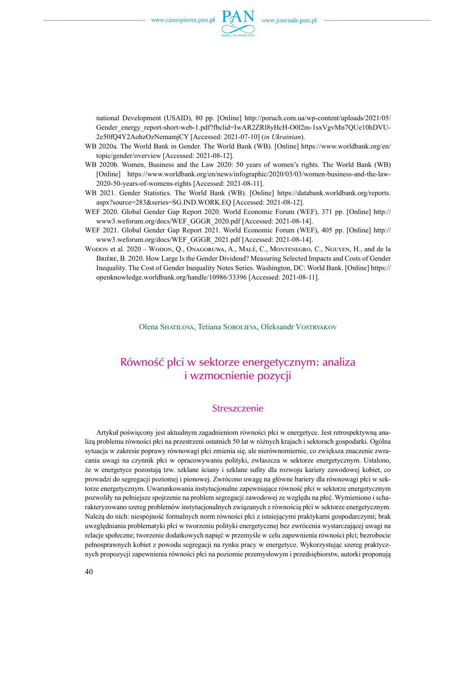

national Development (USAID), 80 pp. [Online] [http://poruch.com.ua/wp-content/uploads/2021/05/](http://poruch.com.ua/wp-content/uploads/2021/05/Gender_energy_report-short-web-1.pdf?fbclid=IwAR2ZRl8yHcH-O0l2m-1sxVgvMn7QUe10hDVU2e50fQ4Y2AohzOzNemamjCY) [Gender\\_energy\\_report-short-web-1.pdf?fbclid=IwAR2ZRl8yHcH-O0l2m-1sxVgvMn7QUe10hDVU](http://poruch.com.ua/wp-content/uploads/2021/05/Gender_energy_report-short-web-1.pdf?fbclid=IwAR2ZRl8yHcH-O0l2m-1sxVgvMn7QUe10hDVU2e50fQ4Y2AohzOzNemamjCY)-[2e50fQ4Y2AohzOzNemamjCY](http://poruch.com.ua/wp-content/uploads/2021/05/Gender_energy_report-short-web-1.pdf?fbclid=IwAR2ZRl8yHcH-O0l2m-1sxVgvMn7QUe10hDVU2e50fQ4Y2AohzOzNemamjCY) [Accessed: 2021-07-10] (*in Ukrainian*).

- WB 2020a. The World Bank in Gender. The World Bank (WB). [Online] [https://www.worldbank.org/en/](https://www.worldbank.org/en/topic/gender/overview) [topic/gender/overview](https://www.worldbank.org/en/topic/gender/overview) [Accessed: 2021-08-12].
- WB 2020b. Women, Business and the Law 2020: 50 years of women's rights. The World Bank (WB) [Online] [https://www.worldbank.org/en/news/infographic/2020/03/03/women-business-and-the-law-](https://www.worldbank.org/en/news/infographic/2020/03/03/women-business-and-the-law-2020-50-years-of-womens-rights)[2020-50-years-of-womens-rights](https://www.worldbank.org/en/news/infographic/2020/03/03/women-business-and-the-law-2020-50-years-of-womens-rights) [Accessed: 2021-08-11].
- WB 2021. Gender Statistics. The World Bank (WB). [Online] [https://databank.worldbank.org/reports.](https://databank.worldbank.org/reports.aspx?source=283&series=SG.IND.WORK.EQ) [aspx?source=283&series=SG.IND.WORK.EQ](https://databank.worldbank.org/reports.aspx?source=283&series=SG.IND.WORK.EQ) [Accessed: 2021-08-12].
- WEF 2020. Global Gender Gap Report 2020. World Economic Forum (WEF), 371 pp. [Online] [http://](http://www3.weforum.org/docs/WEF_GGGR_2020.pdf) [www3.weforum.org/docs/WEF\\_GGGR\\_2020.pdf](http://www3.weforum.org/docs/WEF_GGGR_2020.pdf) [Accessed: 2021-08-14].
- WEF 2021. Global Gender Gap Report 2021. World Economic Forum (WEF), 405 pp. [Online] [http://](http://www3.weforum.org/docs/WEF_GGGR_2021.pdf) [www3.weforum.org/docs/WEF\\_GGGR\\_2021.pdf](http://www3.weforum.org/docs/WEF_GGGR_2021.pdf) [Accessed: 2021-08-14].
- Wodon et al. 2020 Wodon, Q., Onagoruwa, A., Malé, C., Montenegro, C., Nguyen, H., and de la Brière, B. 2020. How Large Is the Gender Dividend? Measuring Selected Impacts and Costs of Gender Inequality. The Cost of Gender Inequality Notes Series. Washington, DC: World Bank. [Online] [https://](https://openknowledge.worldbank.org/handle/10986/33396) [openknowledge.worldbank.org/handle/10986/33396](https://openknowledge.worldbank.org/handle/10986/33396) [Accessed: 2021-08-11].

Olena Shatilova, Tetiana Sobolieva, Oleksandr Vostryakov

## Równość płci w sektorze energetycznym: analiza i wzmocnienie pozycji

### **Streszczenie**

Artykuł poświęcony jest aktualnym zagadnieniom równości płci w energetyce. Jest retrospektywną analizą problemu równości płci na przestrzeni ostatnich 50 lat w różnych krajach i sektorach gospodarki. Ogólna sytuacja w zakresie poprawy równowagi płci zmienia się, ale nierównomiernie, co zwiększa znaczenie zwracania uwagi na czynnik płci w opracowywaniu polityki, zwłaszcza w sektorze energetycznym. Ustalono, że w energetyce pozostają tzw. szklane ściany i szklane sufity dla rozwoju kariery zawodowej kobiet, co prowadzi do segregacji poziomej i pionowej. Zwrócono uwagę na główne bariery dla równowagi płci w sektorze energetycznym. Uwarunkowania instytucjonalne zapewniające równość płci w sektorze energetycznym pozwoliły na pełniejsze spojrzenie na problem segregacji zawodowej ze względu na płeć. Wymieniono ischarakteryzowano szereg problemów instytucjonalnych związanych z równością płci w sektorze energetycznym. Należą do nich: niespójność formalnych norm równości płci z istniejącymi praktykami gospodarczymi; brak uwzględniania problematyki płci w tworzeniu polityki energetycznej bez zwrócenia wystarczającej uwagi na relacje społeczne; tworzenie dodatkowych napięć w przemyśle w celu zapewnienia równości płci; bezrobocie pełnosprawnych kobiet z powodu segregacji na rynku pracy w energetyce. Wykorzystując szereg praktycznych propozycji zapewnienia równości płci na poziomie przemysłowym i przedsiębiorstw, autorki proponują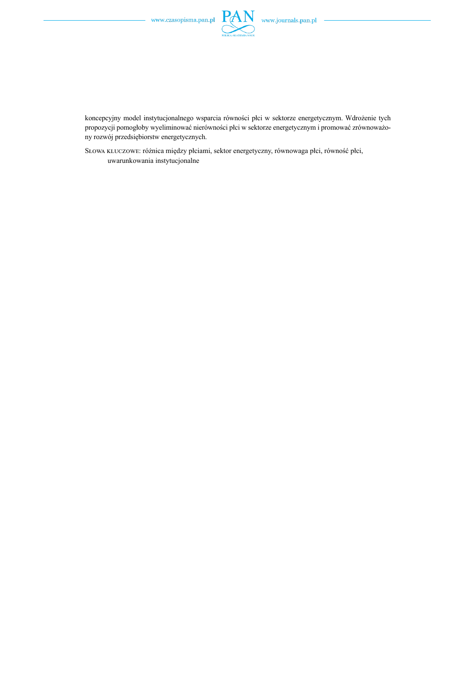

koncepcyjny model instytucjonalnego wsparcia równości płci w sektorze energetycznym. Wdrożenie tych propozycji pomogłoby wyeliminować nierówności płci w sektorze energetycznym i promować zrównoważony rozwój przedsiębiorstw energetycznych.

Słowa kluczowe: różnica między płciami, sektor energetyczny, równowaga płci, równość płci, uwarunkowania instytucjonalne